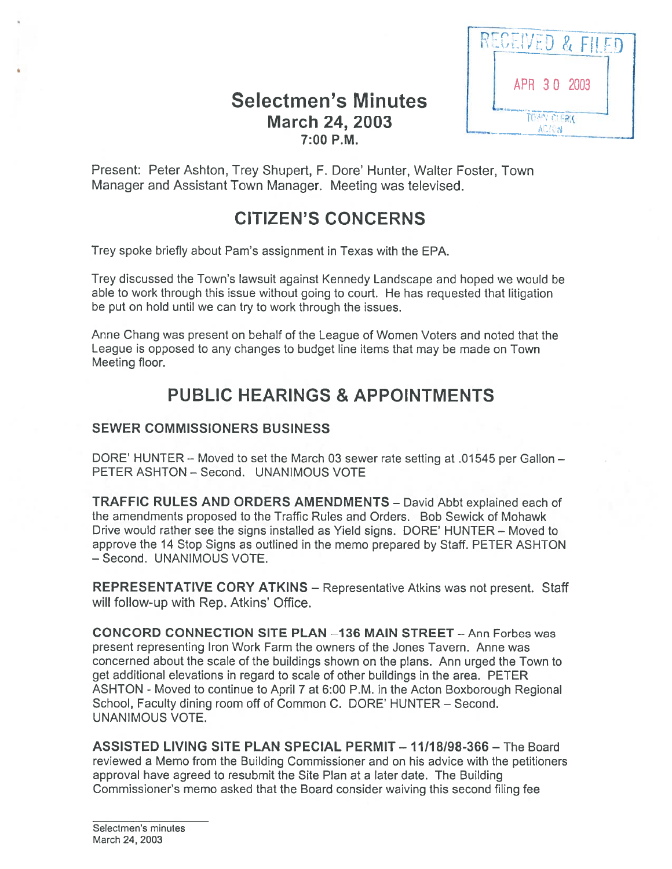# Selectmen's Minutes March 24, 2003 7:00 P.M.



Present: Peter Ashton, Trey Shupert, F. Dore' Hunter, Walter Foster, Town Manager and Assistant Town Manager. Meeting was televised.

# CITIZEN'S CONCERNS

Trey spoke briefly about Pam's assignment in Texas with the EPA.

Trey discussed the Town's lawsuit against Kennedy Landscape and hoped we would be able to work through this issue without going to court. He has requested that litigation be pu<sup>t</sup> on hold until we can try to work through the issues.

Anne Chang was presen<sup>t</sup> on behalf of the League of Women Voters and noted that the League is opposed to any changes to budget line items that may be made on Town Meeting floor.

# PUBLIC HEARINGS & APPOINTMENTS

#### SEWER COMMISSIONERS BUSINESS

DORE' HUNTER — Moved to set the March 03 sewer rate setting at .01545 per Gallon — PETER ASHTON — Second. UNANIMOUS VOTE

TRAFFIC RULES AND ORDERS AMENDMENTS - David Abbt explained each of the amendments proposed to the Traffic Rules and Orders. Bob Sewick of Mohawk Drive would rather see the signs installed as Yield signs. DORE' HUNTER — Moved to approve the 14 Stop Signs as outlined in the memo prepared by Staff. PETER ASHTON — Second. UNANIMOUS VOTE.

REPRESENTATIVE CORY ATKINS — Representative Atkins was not present. Staff will follow-up with Rep. Atkins' Office.

CONCORD CONNECTION SITE PLAN —136 MAIN STREET -Ann Forbes was presen<sup>t</sup> representing Iron Work Farm the owners of the Jones Tavern. Anne was concerned about the scale of the buildings shown on the plans. Ann urged the Town to ge<sup>t</sup> additional elevations in regard to scale of other buildings in the area. PETER ASHTON - Moved to continue to April 7 at 6:00 P.M. in the Acton Boxborough Regional School, Faculty dining room off of Common C. DORE' HUNTER — Second. UNANIMOUS VOTE.

ASSISTED LIVING SITE PLAN SPECIAL PERMIT— 11/18198-366—The Board reviewed <sup>a</sup> Memo from the Building Commissioner and on his advice with the petitioners approval have agreed to resubmit the Site Plan at <sup>a</sup> later date. The Building Commissioner's memo asked that the Board consider waiving this second filing fee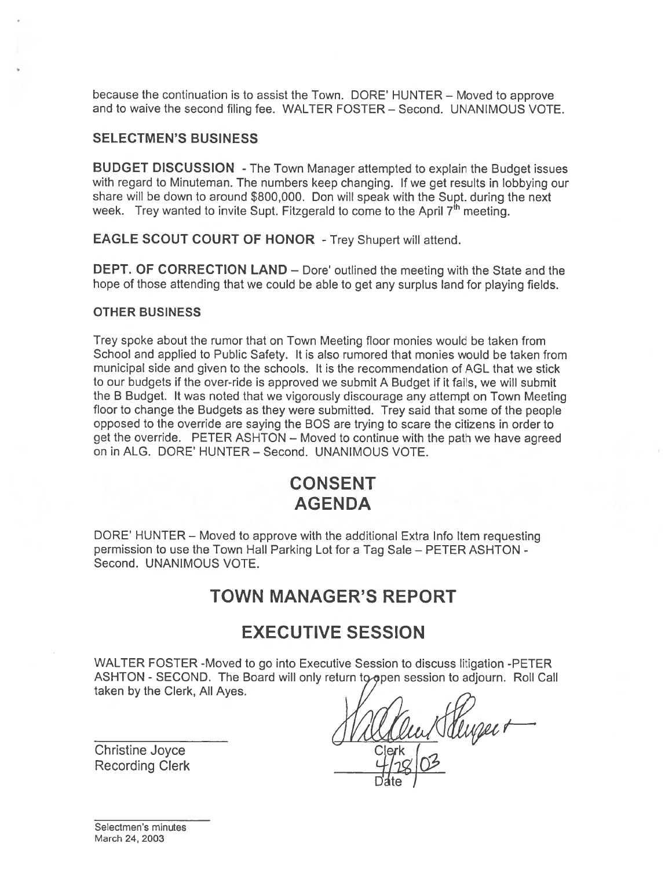because the continuation is to assist the Town. DORE' HUNTER — Moved to approve and to waive the second filing fee. WALTER FOSTER — Second. UNANIMOUS VOTE.

#### SELECTMEN'S BUSINESS

BUDGET DISCUSSION -The Town Manager attempted to explain the Budget issues with regard to Minuteman. The numbers keep changing. If we ge<sup>t</sup> results in lobbying our share will be down to around \$800,000. Don will spea<sup>k</sup> with the Supt. during the next week. Trey wanted to invite Supt. Fitzgerald to come to the April  $7<sup>th</sup>$  meeting.

EAGLE SCOUT COURT OF HONOR - Trey Shupert will attend.

DEPT. OF CORRECTION LAND – Dore' outlined the meeting with the State and the hope of those attending that we could be able to ge<sup>t</sup> any surplus land for <sup>p</sup>laying fields.

#### OTHER BUSINESS

Trey spoke about the rumor that on Town Meeting floor monies would be taken from School and applied to Public Safety. It is also rumored that monies would be taken from municipal side and given to the schools. It is the recommendation of AGL that we stick to our budgets if the over-tide is approved we submit A Budget if it fails, we will submit the <sup>B</sup> Budget. It was noted that we vigorously discourage any attempt on Town Meeting floor to change the Budgets as they were submitted. Trey said that some of the people opposed to the override are saying the BOS are trying to scare the citizens in order to ge<sup>t</sup> the override. PETER ASHTON — Moved to continue with the path we have agreed on in ALG. DORE' HUNTER — Second. UNANIMOUS VOTE.

## CONSENT AGENDA

DORE' HUNTER - Moved to approve with the additional Extra Info Item requesting permission to use the Town Hall Parking Lot for <sup>a</sup> Tag Sale — PETER ASHTON - Second. UNANIMOUS VOTE.

### TOWN MANAGER'S REPORT

### EXECUTIVE SESSION

WALTER FOSTER -Moved to go into Executive Session to discuss litigation -PETER ASHTON - SECOND. The Board will only return to open session to adjourn. Roll Call taken by the Clerk, All Ayes.

Christine Joyce Mallow Clerk 1-2

D'ate *I* 

Recording Clerk

Selectmen's minutes March 24, 2003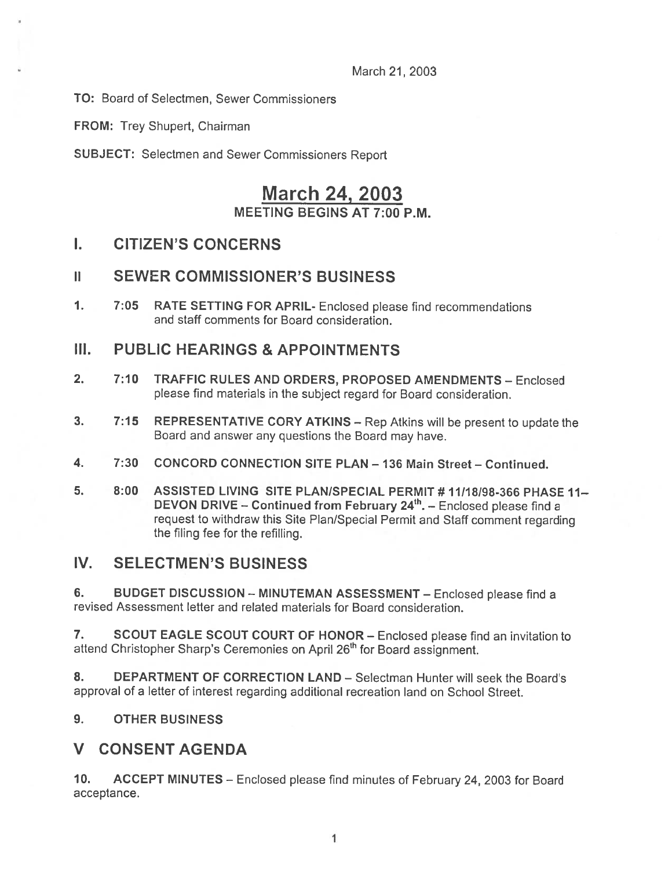March 21, 2003

TO: Board of Selectmen, Sewer Commissioners

FROM: Trey Shupert, Chairman

SUBJECT: Selectmen and Sewer Commissioners Report

# March 24, 2003 MEETING BEGINS AT 7:00 P.M.

## I. CITIZEN'S CONCERNS

### II SEWER COMMISSIONER'S BUSINESS

1. 7:05 RATE SETTING FOR APRIL- Enclosed <sup>p</sup>lease find recommendations and staff comments for Board consideration.

### III. PUBLIC HEARINGS & APPOINTMENTS

- 2. 7:10 TRAFFIC RULES AND ORDERS, PROPOSED AMENDMENTS Enclosed please find materials in the subject regard for Board consideration.
- 3. 7:15 REPRESENTATIVE CORY ATKINS Rep Atkins will be presen<sup>t</sup> to update the Board and answer any questions the Board may have.
- 4. 7:30 CONCORD CONNECTION SITE PLAN 136 Main Street Continued.
- 5. 8:00 ASSISTED LIVING SITE PLAN/SPECIAL PERMIT # 11/18/98-366 PHASE 11-DEVON DRIVE – Continued from February 24<sup>th</sup>. – Enclosed please find a reques<sup>t</sup> to withdraw this Site Plan/Special Permit and Staff comment regarding the filing fee for the refilling.

### IV. SELECTMEN'S BUSINESS

6. BUDGET DISCUSSION - MINUTEMAN ASSESSMENT - Enclosed please find a revised Assessment letter and related materials for Board consideration.

7. SCOUT EAGLE SCOUT COURT OF HONOR – Enclosed please find an invitation to attend Christopher Sharp's Ceremonies on April 26<sup>th</sup> for Board assignment.

8. DEPARTMENT OF CORRECTION LAND - Selectman Hunter will seek the Board's approval of <sup>a</sup> letter of interest regarding additional recreation land on School Street.

#### 9. OTHER BUSINESS

### V CONSENT AGENDA

10. ACCEPT MINUTES — Enclosed <sup>p</sup>lease find minutes of February 24, 2003 for Board acceptance.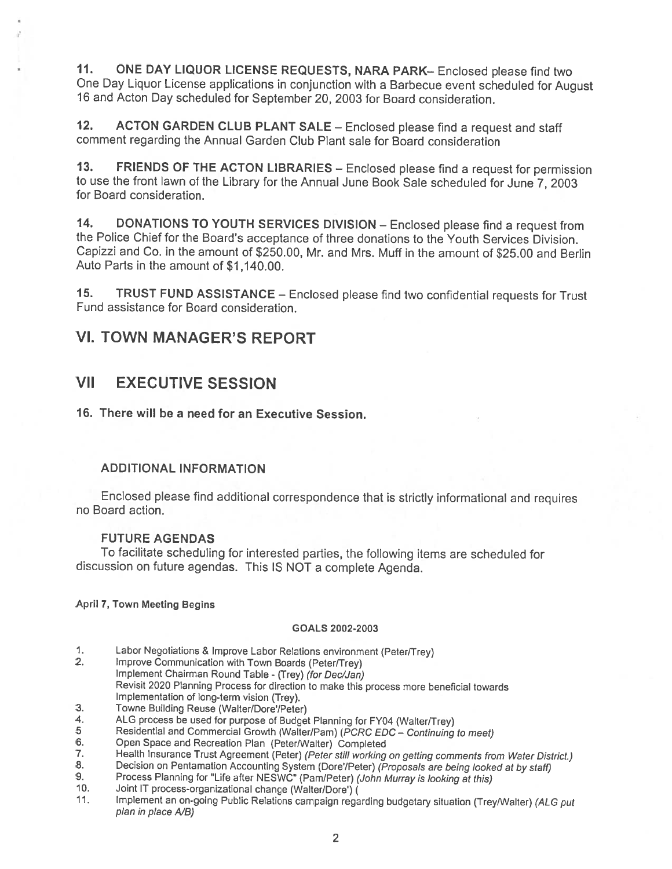11. ONE DAY LIQUOR LICENSE REQUESTS, NARA PARK-Enclosed please find two One Day Liquor License appiications in conjunction with <sup>a</sup> Barbecue event scheduled for August <sup>16</sup> and Acton Day scheduled for September 20, <sup>2003</sup> for Board consideration.

12. ACTON GARDEN CLUB PLANT SALE — Enclosed <sup>p</sup>lease find <sup>a</sup> request and staff comment regarding the Annual Garden Club Plant sale for Board consideration

13. FRIENDS OF THE ACTON LIBRARIES — Enclosed <sup>p</sup>lease find <sup>a</sup> request for permission to use the front lawn of the Library for the Annual June Book Sale scheduled for June 7, <sup>2003</sup> for Board consideration.

14. DONATIONS TO YOUTH SERVICES DIVISION — Enclosed <sup>p</sup>lease find <sup>a</sup> request from the Police Chief for the Board's acceptance of three donations to the Youth Services Division. Capizzi and Co. in the amount of \$250.00, Mr. and Mrs. Muff in the amount of \$25.00 and Berlin Auto Parts in the amount of \$1,140.00.

15. TRUST FUND ASSISTANCE — Enclosed <sup>p</sup>lease find two confidential requests for Trust Fund assistance for Board consideration.

### VI. TOWN MANAGER'S REPORT

### VII EXECUTIVE SESSION

16. There will be <sup>a</sup> need for an Executive Session.

#### ADDITIONAL INFORMATION

Enclosed <sup>p</sup>lease find additional correspondence that is strictly informational and requires no Board action.

#### FUTURE AGENDAS

To facilitate scheduling for interested parties, the following items are scheduled for discussion on future agendas. This IS NOT <sup>a</sup> complete Agenda.

#### April 7, Town Meeting Begins

#### GOALS 2002-2003

- 1. Labor Negotiations & Improve Labor Relations environment (Peter/Trey)<br>2. Improve Communication with Town Boards (Peter/Trey)
- Improve Communication with Town Boards (Peter/Trey) Implement Chairman Round Table - (Trey) (for Dec/Jan) Revisit <sup>2020</sup> Planning Process for direction to make this process more beneficial towards Implementation of long-term vision (Trey).
- 3. Towne Building Reuse (Walter/Dore'/Peter)
- 4. ALG process be used for purpose of Budget Planning for FY04 (Walter/Trey)<br>5 Residential and Commercial Growth (Walter/Pam) (*PCRC FDC Continuing*
- 5 Residential and Commercial Growth (Walter/Pam) (PCRC EDC Continuing to meet)<br>6. Open Space and Recreation Plan (Peter/Walter) Completed
- 6. Open Space and Recreation Plan (Peter/Walter) Completed<br>7. Health Insurance Trust Agreement (Peter) (Peter still working
- 7. Health Insurance Trust Agreement (Peter) (Peter still working on getting comments from Water District.)<br>8. Decision on Pentamation Accounting System (Dore'/Peter) (Proposals are being looked at by staff)
- 
- 9. Process Planning for "Life after NESWC" (Pam/Peter) (John Murray is looking at this) 9. Process-organizational change (Walter/Dore') (John Murray is looking at this)
- Joint IT process-organizational change (Walter/Dore') (
- 11. Implement an on-going Public Relations campaign regarding budgetary situation (Trey/Walter) (ALG put plan in place A/B)